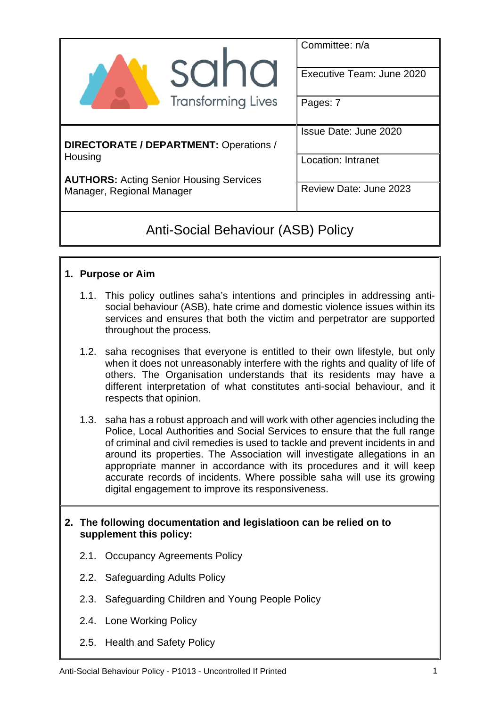|                                                                             | Committee: n/a<br>Executive Team: June 2020         |  |  |  |
|-----------------------------------------------------------------------------|-----------------------------------------------------|--|--|--|
| <b>Transforming Lives</b>                                                   | Pages: 7                                            |  |  |  |
| DIRECTORATE / DEPARTMENT: Operations /                                      | Issue Date: June 2020                               |  |  |  |
| Housing                                                                     | <b>Location: Intranet</b><br>Review Date: June 2023 |  |  |  |
| <b>AUTHORS: Acting Senior Housing Services</b><br>Manager, Regional Manager |                                                     |  |  |  |

# Anti-Social Behaviour (ASB) Policy

## **1. Purpose or Aim**

- 1.1. This policy outlines saha's intentions and principles in addressing antisocial behaviour (ASB), hate crime and domestic violence issues within its services and ensures that both the victim and perpetrator are supported throughout the process.
- 1.2. saha recognises that everyone is entitled to their own lifestyle, but only when it does not unreasonably interfere with the rights and quality of life of others. The Organisation understands that its residents may have a different interpretation of what constitutes anti-social behaviour, and it respects that opinion.
- 1.3. saha has a robust approach and will work with other agencies including the Police, Local Authorities and Social Services to ensure that the full range of criminal and civil remedies is used to tackle and prevent incidents in and around its properties. The Association will investigate allegations in an appropriate manner in accordance with its procedures and it will keep accurate records of incidents. Where possible saha will use its growing digital engagement to improve its responsiveness.

#### **2. The following documentation and legislatioon can be relied on to supplement this policy:**

- 2.1. Occupancy Agreements Policy
- 2.2. Safeguarding Adults Policy
- 2.3. Safeguarding Children and Young People Policy
- 2.4. Lone Working Policy
- 2.5. Health and Safety Policy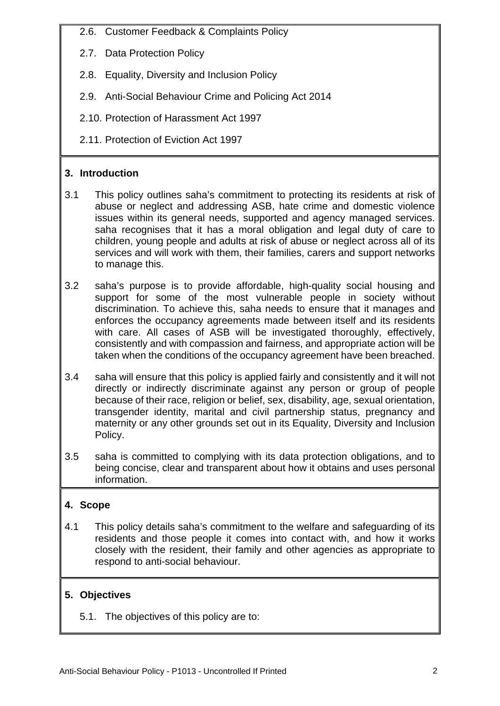- 2.6. Customer Feedback & Complaints Policy
- 2.7. Data Protection Policy
- 2.8. Equality, Diversity and Inclusion Policy
- 2.9. Anti-Social Behaviour Crime and Policing Act 2014
- 2.10. Protection of Harassment Act 1997
- 2.11. Protection of Eviction Act 1997

## **3. Introduction**

- 3.1 This policy outlines saha's commitment to protecting its residents at risk of abuse or neglect and addressing ASB, hate crime and domestic violence issues within its general needs, supported and agency managed services. saha recognises that it has a moral obligation and legal duty of care to children, young people and adults at risk of abuse or neglect across all of its services and will work with them, their families, carers and support networks to manage this.
- 3.2 saha's purpose is to provide affordable, high-quality social housing and support for some of the most vulnerable people in society without discrimination. To achieve this, saha needs to ensure that it manages and enforces the occupancy agreements made between itself and its residents with care. All cases of ASB will be investigated thoroughly, effectively, consistently and with compassion and fairness, and appropriate action will be taken when the conditions of the occupancy agreement have been breached.
- 3.4 saha will ensure that this policy is applied fairly and consistently and it will not directly or indirectly discriminate against any person or group of people because of their race, religion or belief, sex, disability, age, sexual orientation, transgender identity, marital and civil partnership status, pregnancy and maternity or any other grounds set out in its Equality, Diversity and Inclusion Policy.
- 3.5 saha is committed to complying with its data protection obligations, and to being concise, clear and transparent about how it obtains and uses personal information.

## **4. Scope**

4.1 This policy details saha's commitment to the welfare and safeguarding of its residents and those people it comes into contact with, and how it works closely with the resident, their family and other agencies as appropriate to respond to anti-social behaviour.

## **5. Objectives**

5.1. The objectives of this policy are to: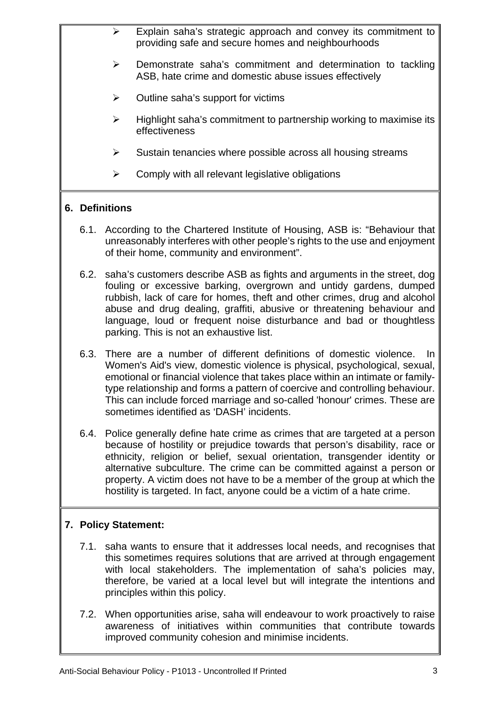- $\triangleright$  Explain saha's strategic approach and convey its commitment to providing safe and secure homes and neighbourhoods
- $\triangleright$  Demonstrate saha's commitment and determination to tackling ASB, hate crime and domestic abuse issues effectively
- $\triangleright$  Outline saha's support for victims
- $\triangleright$  Highlight saha's commitment to partnership working to maximise its effectiveness
- $\triangleright$  Sustain tenancies where possible across all housing streams
- $\triangleright$  Comply with all relevant legislative obligations

## **6. Definitions**

- 6.1. According to the Chartered Institute of Housing, ASB is: "Behaviour that unreasonably interferes with other people's rights to the use and enjoyment of their home, community and environment".
- 6.2. saha's customers describe ASB as fights and arguments in the street, dog fouling or excessive barking, overgrown and untidy gardens, dumped rubbish, lack of care for homes, theft and other crimes, drug and alcohol abuse and drug dealing, graffiti, abusive or threatening behaviour and language, loud or frequent noise disturbance and bad or thoughtless parking. This is not an exhaustive list.
- 6.3. There are a number of different definitions of domestic violence. In Women's Aid's view, domestic violence is physical, psychological, sexual, emotional or financial violence that takes place within an intimate or familytype relationship and forms a pattern of coercive and controlling behaviour. This can include forced marriage and so-called 'honour' crimes. These are sometimes identified as 'DASH' incidents.
- 6.4. Police generally define hate crime as crimes that are targeted at a person because of hostility or prejudice towards that person's disability, race or ethnicity, religion or belief, sexual orientation, transgender identity or alternative subculture. The crime can be committed against a person or property. A victim does not have to be a member of the group at which the hostility is targeted. In fact, anyone could be a victim of a hate crime.

## **7. Policy Statement:**

- 7.1. saha wants to ensure that it addresses local needs, and recognises that this sometimes requires solutions that are arrived at through engagement with local stakeholders. The implementation of saha's policies may, therefore, be varied at a local level but will integrate the intentions and principles within this policy.
- 7.2. When opportunities arise, saha will endeavour to work proactively to raise awareness of initiatives within communities that contribute towards improved community cohesion and minimise incidents.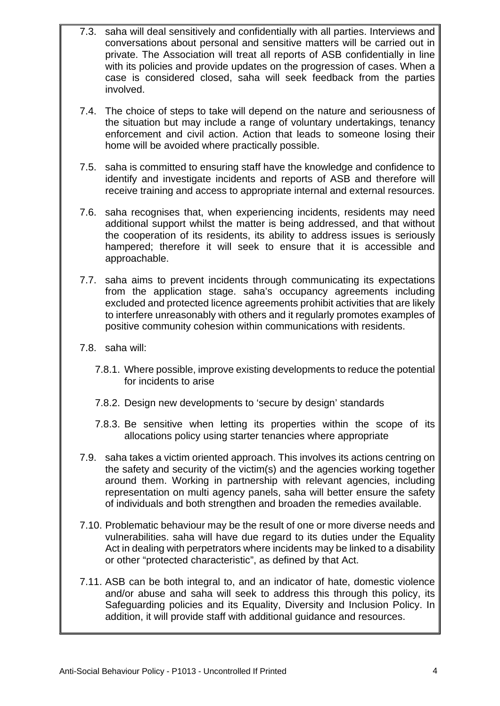- 7.3. saha will deal sensitively and confidentially with all parties. Interviews and conversations about personal and sensitive matters will be carried out in private. The Association will treat all reports of ASB confidentially in line with its policies and provide updates on the progression of cases. When a case is considered closed, saha will seek feedback from the parties involved.
- 7.4. The choice of steps to take will depend on the nature and seriousness of the situation but may include a range of voluntary undertakings, tenancy enforcement and civil action. Action that leads to someone losing their home will be avoided where practically possible.
- 7.5. saha is committed to ensuring staff have the knowledge and confidence to identify and investigate incidents and reports of ASB and therefore will receive training and access to appropriate internal and external resources.
- 7.6. saha recognises that, when experiencing incidents, residents may need additional support whilst the matter is being addressed, and that without the cooperation of its residents, its ability to address issues is seriously hampered; therefore it will seek to ensure that it is accessible and approachable.
- 7.7. saha aims to prevent incidents through communicating its expectations from the application stage. saha's occupancy agreements including excluded and protected licence agreements prohibit activities that are likely to interfere unreasonably with others and it regularly promotes examples of positive community cohesion within communications with residents.
- 7.8. saha will:
	- 7.8.1. Where possible, improve existing developments to reduce the potential for incidents to arise
	- 7.8.2. Design new developments to 'secure by design' standards
	- 7.8.3. Be sensitive when letting its properties within the scope of its allocations policy using starter tenancies where appropriate
- 7.9. saha takes a victim oriented approach. This involves its actions centring on the safety and security of the victim(s) and the agencies working together around them. Working in partnership with relevant agencies, including representation on multi agency panels, saha will better ensure the safety of individuals and both strengthen and broaden the remedies available.
- 7.10. Problematic behaviour may be the result of one or more diverse needs and vulnerabilities. saha will have due regard to its duties under the Equality Act in dealing with perpetrators where incidents may be linked to a disability or other "protected characteristic", as defined by that Act.
- 7.11. ASB can be both integral to, and an indicator of hate, domestic violence and/or abuse and saha will seek to address this through this policy, its Safeguarding policies and its Equality, Diversity and Inclusion Policy. In addition, it will provide staff with additional guidance and resources.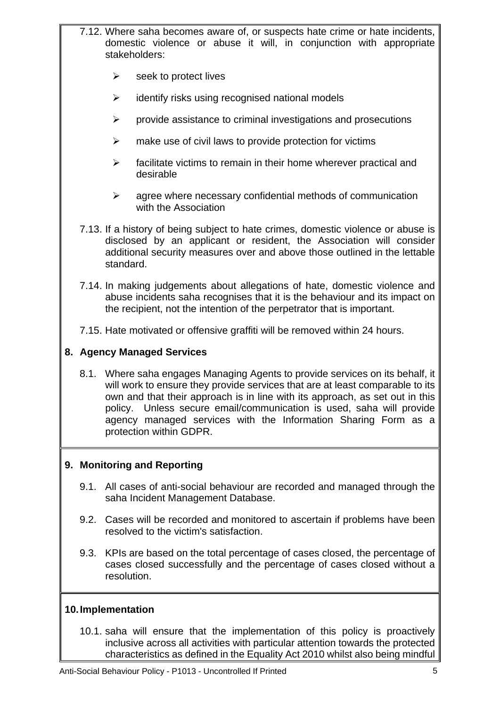- 7.12. Where saha becomes aware of, or suspects hate crime or hate incidents, domestic violence or abuse it will, in conjunction with appropriate stakeholders:
	- $\triangleright$  seek to protect lives
	- $\triangleright$  identify risks using recognised national models
	- $\triangleright$  provide assistance to criminal investigations and prosecutions
	- $\triangleright$  make use of civil laws to provide protection for victims
	- $\triangleright$  facilitate victims to remain in their home wherever practical and desirable
	- $\triangleright$  agree where necessary confidential methods of communication with the Association
- 7.13. If a history of being subject to hate crimes, domestic violence or abuse is disclosed by an applicant or resident, the Association will consider additional security measures over and above those outlined in the lettable standard.
- 7.14. In making judgements about allegations of hate, domestic violence and abuse incidents saha recognises that it is the behaviour and its impact on the recipient, not the intention of the perpetrator that is important.
- 7.15. Hate motivated or offensive graffiti will be removed within 24 hours.

#### **8. Agency Managed Services**

8.1. Where saha engages Managing Agents to provide services on its behalf, it will work to ensure they provide services that are at least comparable to its own and that their approach is in line with its approach, as set out in this policy. Unless secure email/communication is used, saha will provide agency managed services with the Information Sharing Form as a protection within GDPR.

## **9. Monitoring and Reporting**

- 9.1. All cases of anti-social behaviour are recorded and managed through the saha Incident Management Database.
- 9.2. Cases will be recorded and monitored to ascertain if problems have been resolved to the victim's satisfaction.
- 9.3. KPIs are based on the total percentage of cases closed, the percentage of cases closed successfully and the percentage of cases closed without a resolution.

#### **10. Implementation**

10.1. saha will ensure that the implementation of this policy is proactively inclusive across all activities with particular attention towards the protected characteristics as defined in the Equality Act 2010 whilst also being mindful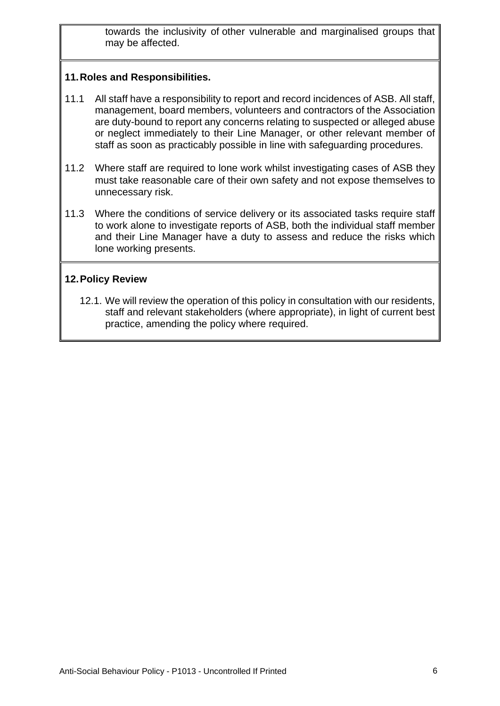towards the inclusivity of other vulnerable and marginalised groups that may be affected.

## **11. Roles and Responsibilities.**

- 11.1 All staff have a responsibility to report and record incidences of ASB. All staff, management, board members, volunteers and contractors of the Association are duty-bound to report any concerns relating to suspected or alleged abuse or neglect immediately to their Line Manager, or other relevant member of staff as soon as practicably possible in line with safeguarding procedures.
- 11.2 Where staff are required to lone work whilst investigating cases of ASB they must take reasonable care of their own safety and not expose themselves to unnecessary risk.
- 11.3 Where the conditions of service delivery or its associated tasks require staff to work alone to investigate reports of ASB, both the individual staff member and their Line Manager have a duty to assess and reduce the risks which lone working presents.

#### **12. Policy Review**

12.1. We will review the operation of this policy in consultation with our residents, staff and relevant stakeholders (where appropriate), in light of current best practice, amending the policy where required.